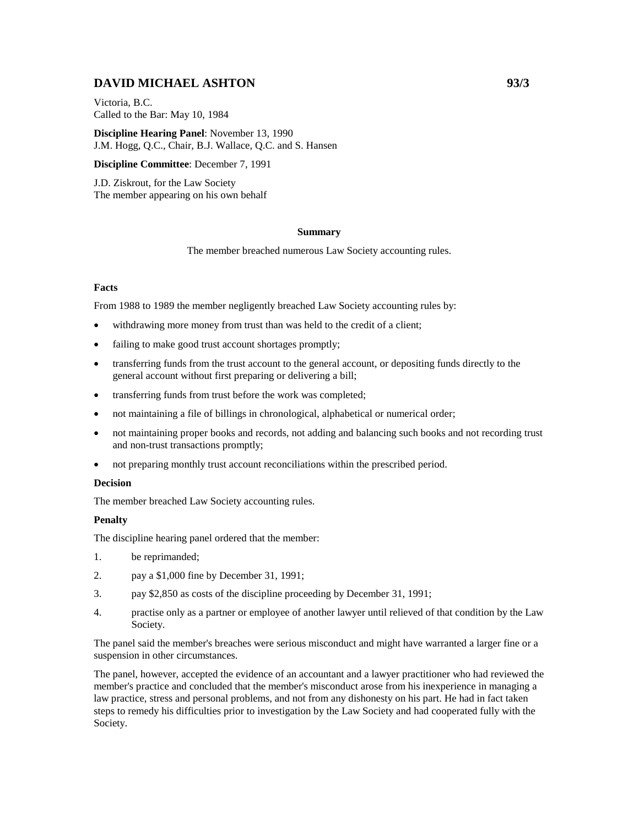# **DAVID MICHAEL ASHTON 93/3**

Victoria, B.C. Called to the Bar: May 10, 1984

**Discipline Hearing Panel**: November 13, 1990 J.M. Hogg, Q.C., Chair, B.J. Wallace, Q.C. and S. Hansen

**Discipline Committee**: December 7, 1991

J.D. Ziskrout, for the Law Society The member appearing on his own behalf

#### **Summary**

The member breached numerous Law Society accounting rules.

## **Facts**

From 1988 to 1989 the member negligently breached Law Society accounting rules by:

- withdrawing more money from trust than was held to the credit of a client;
- failing to make good trust account shortages promptly;
- transferring funds from the trust account to the general account, or depositing funds directly to the general account without first preparing or delivering a bill;
- transferring funds from trust before the work was completed;
- not maintaining a file of billings in chronological, alphabetical or numerical order;
- not maintaining proper books and records, not adding and balancing such books and not recording trust and non-trust transactions promptly;
- not preparing monthly trust account reconciliations within the prescribed period.

#### **Decision**

The member breached Law Society accounting rules.

## **Penalty**

The discipline hearing panel ordered that the member:

- 1. be reprimanded;
- 2. pay a \$1,000 fine by December 31, 1991;
- 3. pay \$2,850 as costs of the discipline proceeding by December 31, 1991;
- 4. practise only as a partner or employee of another lawyer until relieved of that condition by the Law Society.

The panel said the member's breaches were serious misconduct and might have warranted a larger fine or a suspension in other circumstances.

The panel, however, accepted the evidence of an accountant and a lawyer practitioner who had reviewed the member's practice and concluded that the member's misconduct arose from his inexperience in managing a law practice, stress and personal problems, and not from any dishonesty on his part. He had in fact taken steps to remedy his difficulties prior to investigation by the Law Society and had cooperated fully with the Society.